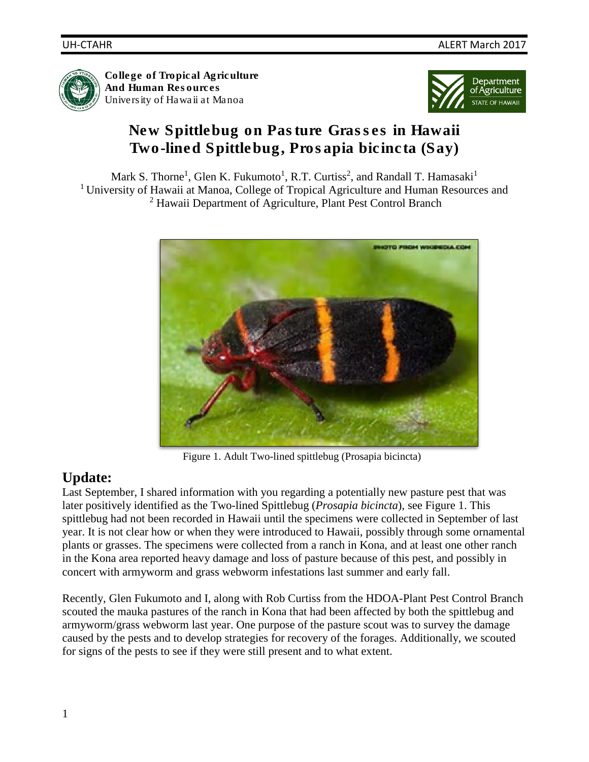

College of Tropical Agriculture And Human Resources University of Hawaii at Manoa



# New Spittlebug on Pasture Grasses in Hawaii Two-lined Spittlebug, *Prosapia bicincta* (Say)

Mark S. Thorne<sup>1</sup>, Glen K. Fukumoto<sup>1</sup>, R.T. Curtiss<sup>2</sup>, and Randall T. Hamasaki<sup>1</sup> <sup>1</sup> University of Hawaii at Manoa, College of Tropical Agriculture and Human Resources and <sup>2</sup> Hawaii Department of Agriculture, Plant Pest Control Branch



Figure 1. Adult Two-lined spittlebug (Prosapia bicincta)

# **Update:**

Last September, I shared information with you regarding a potentially new pasture pest that was later positively identified as the Two-lined Spittlebug (*Prosapia bicincta*), see Figure 1. This spittlebug had not been recorded in Hawaii until the specimens were collected in September of last year. It is not clear how or when they were introduced to Hawaii, possibly through some ornamental plants or grasses. The specimens were collected from a ranch in Kona, and at least one other ranch in the Kona area reported heavy damage and loss of pasture because of this pest, and possibly in concert with armyworm and grass webworm infestations last summer and early fall.

Recently, Glen Fukumoto and I, along with Rob Curtiss from the HDOA-Plant Pest Control Branch scouted the mauka pastures of the ranch in Kona that had been affected by both the spittlebug and armyworm/grass webworm last year. One purpose of the pasture scout was to survey the damage caused by the pests and to develop strategies for recovery of the forages. Additionally, we scouted for signs of the pests to see if they were still present and to what extent.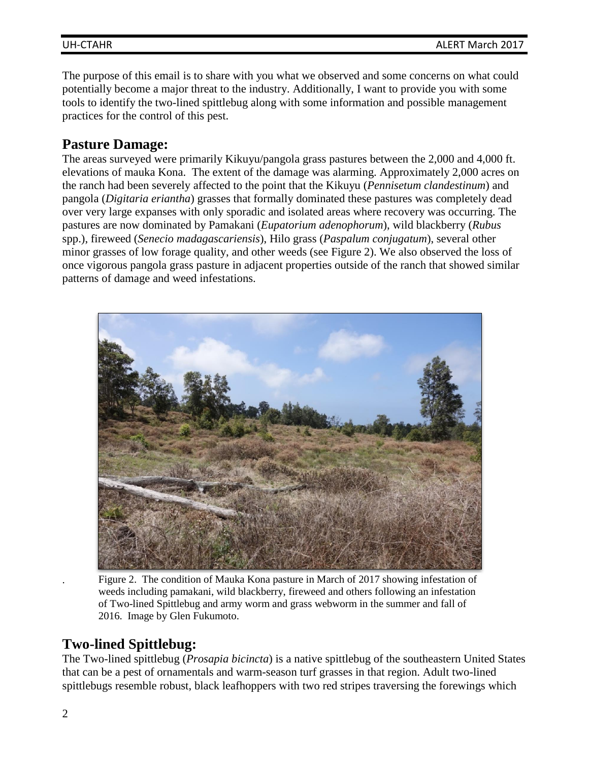The purpose of this email is to share with you what we observed and some concerns on what could potentially become a major threat to the industry. Additionally, I want to provide you with some tools to identify the two-lined spittlebug along with some information and possible management practices for the control of this pest.

### **Pasture Damage:**

The areas surveyed were primarily Kikuyu/pangola grass pastures between the 2,000 and 4,000 ft. elevations of mauka Kona. The extent of the damage was alarming. Approximately 2,000 acres on the ranch had been severely affected to the point that the Kikuyu (*Pennisetum clandestinum*) and pangola (*Digitaria eriantha*) grasses that formally dominated these pastures was completely dead over very large expanses with only sporadic and isolated areas where recovery was occurring. The pastures are now dominated by Pamakani (*Eupatorium adenophorum*), wild blackberry (*Rubus* spp.), fireweed (*Senecio madagascariensis*), Hilo grass (*Paspalum conjugatum*), several other minor grasses of low forage quality, and other weeds (see Figure 2). We also observed the loss of once vigorous pangola grass pasture in adjacent properties outside of the ranch that showed similar patterns of damage and weed infestations.



Figure 2. The condition of Mauka Kona pasture in March of 2017 showing infestation of weeds including pamakani, wild blackberry, fireweed and others following an infestation of Two-lined Spittlebug and army worm and grass webworm in the summer and fall of 2016. Image by Glen Fukumoto.

# **Two-lined Spittlebug:**

The Two-lined spittlebug (*Prosapia bicincta*) is a native spittlebug of the southeastern United States that can be a pest of ornamentals and warm-season turf grasses in that region. Adult two-lined spittlebugs resemble robust, black leafhoppers with two red stripes traversing the forewings which

.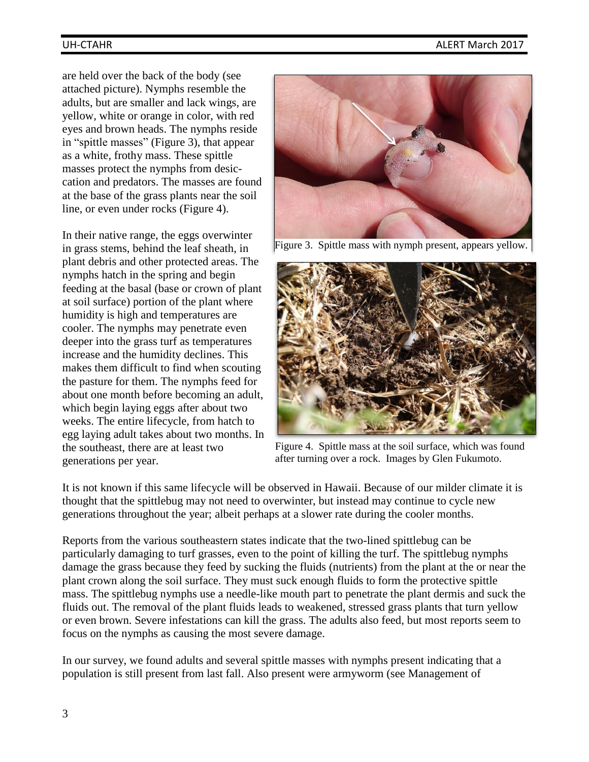are held over the back of the body (see attached picture). Nymphs resemble the adults, but are smaller and lack wings, are yellow, white or orange in color, with red eyes and brown heads. The nymphs reside in "spittle masses" (Figure 3), that appear as a white, frothy mass. These spittle masses protect the nymphs from desiccation and predators. The masses are found at the base of the grass plants near the soil line, or even under rocks (Figure 4).

In their native range, the eggs overwinter in grass stems, behind the leaf sheath, in plant debris and other protected areas. The nymphs hatch in the spring and begin feeding at the basal (base or crown of plant at soil surface) portion of the plant where humidity is high and temperatures are cooler. The nymphs may penetrate even deeper into the grass turf as temperatures increase and the humidity declines. This makes them difficult to find when scouting the pasture for them. The nymphs feed for about one month before becoming an adult, which begin laying eggs after about two weeks. The entire lifecycle, from hatch to egg laying adult takes about two months. In the southeast, there are at least two generations per year.



Figure 3. Spittle mass with nymph present, appears yellow.



Figure 4. Spittle mass at the soil surface, which was found after turning over a rock. Images by Glen Fukumoto.

It is not known if this same lifecycle will be observed in Hawaii. Because of our milder climate it is thought that the spittlebug may not need to overwinter, but instead may continue to cycle new generations throughout the year; albeit perhaps at a slower rate during the cooler months.

Reports from the various southeastern states indicate that the two-lined spittlebug can be particularly damaging to turf grasses, even to the point of killing the turf. The spittlebug nymphs damage the grass because they feed by sucking the fluids (nutrients) from the plant at the or near the plant crown along the soil surface. They must suck enough fluids to form the protective spittle mass. The spittlebug nymphs use a needle-like mouth part to penetrate the plant dermis and suck the fluids out. The removal of the plant fluids leads to weakened, stressed grass plants that turn yellow or even brown. Severe infestations can kill the grass. The adults also feed, but most reports seem to focus on the nymphs as causing the most severe damage.

In our survey, we found adults and several spittle masses with nymphs present indicating that a population is still present from last fall. Also present were armyworm (see Management of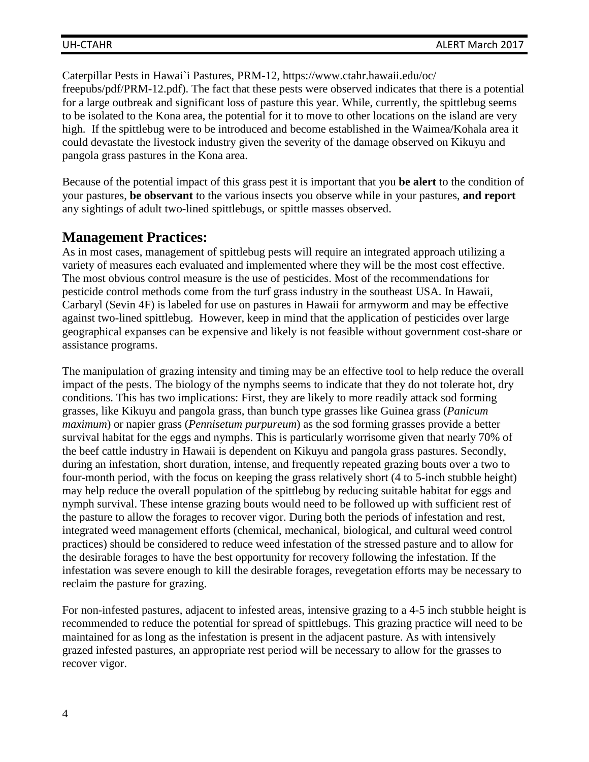Caterpillar Pests in Hawai`i Pastures, PRM-12, https://www.ctahr.hawaii.edu/oc/ freepubs/pdf/PRM-12.pdf). The fact that these pests were observed indicates that there is a potential for a large outbreak and significant loss of pasture this year. While, currently, the spittlebug seems to be isolated to the Kona area, the potential for it to move to other locations on the island are very high. If the spittlebug were to be introduced and become established in the Waimea/Kohala area it could devastate the livestock industry given the severity of the damage observed on Kikuyu and pangola grass pastures in the Kona area.

Because of the potential impact of this grass pest it is important that you **be alert** to the condition of your pastures, **be observant** to the various insects you observe while in your pastures, **and report** any sightings of adult two-lined spittlebugs, or spittle masses observed.

### **Management Practices:**

As in most cases, management of spittlebug pests will require an integrated approach utilizing a variety of measures each evaluated and implemented where they will be the most cost effective. The most obvious control measure is the use of pesticides. Most of the recommendations for pesticide control methods come from the turf grass industry in the southeast USA. In Hawaii, Carbaryl (Sevin 4F) is labeled for use on pastures in Hawaii for armyworm and may be effective against two-lined spittlebug. However, keep in mind that the application of pesticides over large geographical expanses can be expensive and likely is not feasible without government cost-share or assistance programs.

The manipulation of grazing intensity and timing may be an effective tool to help reduce the overall impact of the pests. The biology of the nymphs seems to indicate that they do not tolerate hot, dry conditions. This has two implications: First, they are likely to more readily attack sod forming grasses, like Kikuyu and pangola grass, than bunch type grasses like Guinea grass (*Panicum maximum*) or napier grass (*Pennisetum purpureum*) as the sod forming grasses provide a better survival habitat for the eggs and nymphs. This is particularly worrisome given that nearly 70% of the beef cattle industry in Hawaii is dependent on Kikuyu and pangola grass pastures. Secondly, during an infestation, short duration, intense, and frequently repeated grazing bouts over a two to four-month period, with the focus on keeping the grass relatively short (4 to 5-inch stubble height) may help reduce the overall population of the spittlebug by reducing suitable habitat for eggs and nymph survival. These intense grazing bouts would need to be followed up with sufficient rest of the pasture to allow the forages to recover vigor. During both the periods of infestation and rest, integrated weed management efforts (chemical, mechanical, biological, and cultural weed control practices) should be considered to reduce weed infestation of the stressed pasture and to allow for the desirable forages to have the best opportunity for recovery following the infestation. If the infestation was severe enough to kill the desirable forages, revegetation efforts may be necessary to reclaim the pasture for grazing.

For non-infested pastures, adjacent to infested areas, intensive grazing to a 4-5 inch stubble height is recommended to reduce the potential for spread of spittlebugs. This grazing practice will need to be maintained for as long as the infestation is present in the adjacent pasture. As with intensively grazed infested pastures, an appropriate rest period will be necessary to allow for the grasses to recover vigor.